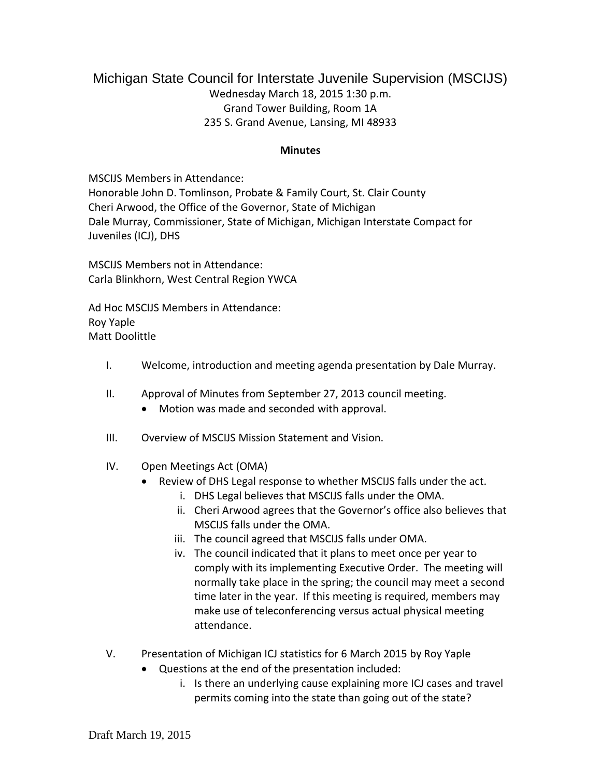## Michigan State Council for Interstate Juvenile Supervision (MSCIJS) Wednesday March 18, 2015 1:30 p.m. Grand Tower Building, Room 1A 235 S. Grand Avenue, Lansing, MI 48933

## **Minutes**

MSCIJS Members in Attendance: Honorable John D. Tomlinson, Probate & Family Court, St. Clair County Cheri Arwood, the Office of the Governor, State of Michigan Dale Murray, Commissioner, State of Michigan, Michigan Interstate Compact for Juveniles (ICJ), DHS

MSCIJS Members not in Attendance: Carla Blinkhorn, West Central Region YWCA

Ad Hoc MSCIJS Members in Attendance: Roy Yaple Matt Doolittle

- I. Welcome, introduction and meeting agenda presentation by Dale Murray.
- II. Approval of Minutes from September 27, 2013 council meeting.
	- Motion was made and seconded with approval.
- III. Overview of MSCIJS Mission Statement and Vision.
- IV. Open Meetings Act (OMA)
	- Review of DHS Legal response to whether MSCIJS falls under the act.
		- i. DHS Legal believes that MSCIJS falls under the OMA.
		- ii. Cheri Arwood agrees that the Governor's office also believes that MSCIJS falls under the OMA.
		- iii. The council agreed that MSCIJS falls under OMA.
		- iv. The council indicated that it plans to meet once per year to comply with its implementing Executive Order. The meeting will normally take place in the spring; the council may meet a second time later in the year. If this meeting is required, members may make use of teleconferencing versus actual physical meeting attendance.
- V. Presentation of Michigan ICJ statistics for 6 March 2015 by Roy Yaple
	- Questions at the end of the presentation included:
		- i. Is there an underlying cause explaining more ICJ cases and travel permits coming into the state than going out of the state?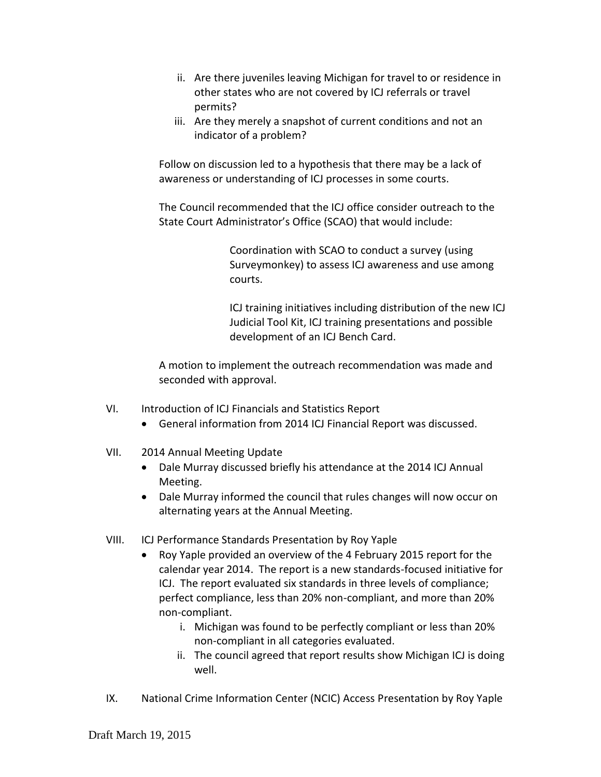- ii. Are there juveniles leaving Michigan for travel to or residence in other states who are not covered by ICJ referrals or travel permits?
- iii. Are they merely a snapshot of current conditions and not an indicator of a problem?

Follow on discussion led to a hypothesis that there may be a lack of awareness or understanding of ICJ processes in some courts.

The Council recommended that the ICJ office consider outreach to the State Court Administrator's Office (SCAO) that would include:

> Coordination with SCAO to conduct a survey (using Surveymonkey) to assess ICJ awareness and use among courts.

ICJ training initiatives including distribution of the new ICJ Judicial Tool Kit, ICJ training presentations and possible development of an ICJ Bench Card.

A motion to implement the outreach recommendation was made and seconded with approval.

- VI. Introduction of ICJ Financials and Statistics Report
	- General information from 2014 ICJ Financial Report was discussed.
- VII. 2014 Annual Meeting Update
	- Dale Murray discussed briefly his attendance at the 2014 ICJ Annual Meeting.
	- Dale Murray informed the council that rules changes will now occur on alternating years at the Annual Meeting.
- VIII. ICJ Performance Standards Presentation by Roy Yaple
	- Roy Yaple provided an overview of the 4 February 2015 report for the calendar year 2014. The report is a new standards-focused initiative for ICJ. The report evaluated six standards in three levels of compliance; perfect compliance, less than 20% non-compliant, and more than 20% non-compliant.
		- i. Michigan was found to be perfectly compliant or less than 20% non-compliant in all categories evaluated.
		- ii. The council agreed that report results show Michigan ICJ is doing well.
- IX. National Crime Information Center (NCIC) Access Presentation by Roy Yaple